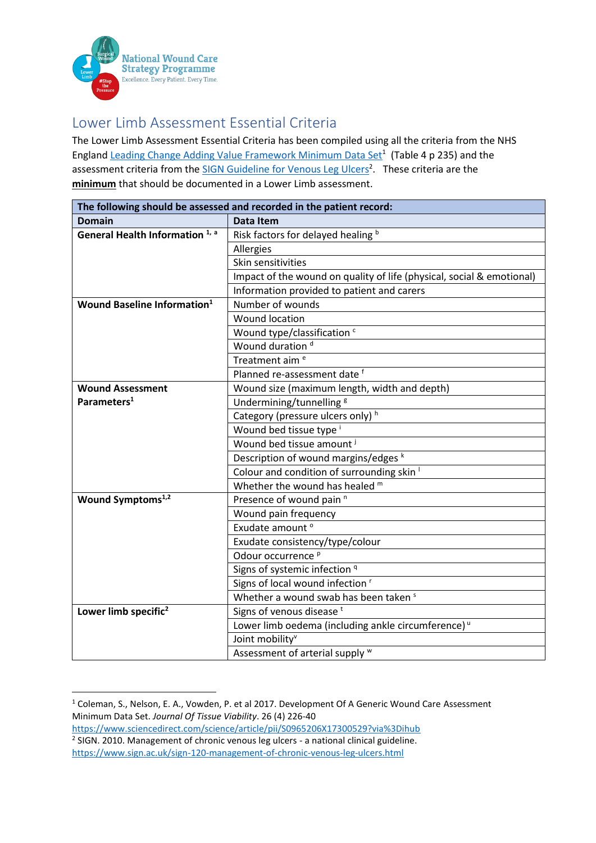

## Lower Limb Assessment Essential Criteria

The Lower Limb Assessment Essential Criteria has been compiled using all the criteria from the NHS England [Leading Change Adding Value Framework Minimum Data Set](https://www.sciencedirect.com/science/article/pii/S0965206X17300529?via%3Dihub)<sup>1</sup> (Table 4 p 235) and the assessment criteria from the [SIGN Guideline for Venous Leg Ulcers](https://www.sign.ac.uk/assets/sign120.pdf)<sup>2</sup>. These criteria are the **minimum** that should be documented in a Lower Limb assessment.

| The following should be assessed and recorded in the patient record: |                                                                       |
|----------------------------------------------------------------------|-----------------------------------------------------------------------|
| <b>Domain</b>                                                        | Data Item                                                             |
| General Health Information <sup>1, a</sup>                           | Risk factors for delayed healing b                                    |
|                                                                      | Allergies                                                             |
|                                                                      | Skin sensitivities                                                    |
|                                                                      | Impact of the wound on quality of life (physical, social & emotional) |
|                                                                      | Information provided to patient and carers                            |
| Wound Baseline Information <sup>1</sup>                              | Number of wounds                                                      |
|                                                                      | <b>Wound location</b>                                                 |
|                                                                      | Wound type/classification c                                           |
|                                                                      | Wound duration <sup>d</sup>                                           |
|                                                                      | Treatment aim <sup>e</sup>                                            |
|                                                                      | Planned re-assessment date f                                          |
| <b>Wound Assessment</b>                                              | Wound size (maximum length, width and depth)                          |
| Parameters <sup>1</sup>                                              | Undermining/tunnelling <sup>g</sup>                                   |
|                                                                      | Category (pressure ulcers only) h                                     |
|                                                                      | Wound bed tissue type <sup>i</sup>                                    |
|                                                                      | Wound bed tissue amount J                                             |
|                                                                      | Description of wound margins/edges k                                  |
|                                                                      | Colour and condition of surrounding skin '                            |
|                                                                      | Whether the wound has healed m                                        |
| Wound Symptoms <sup>1,2</sup>                                        | Presence of wound pain <sup>n</sup>                                   |
|                                                                      | Wound pain frequency                                                  |
|                                                                      | Exudate amount <sup>o</sup>                                           |
|                                                                      | Exudate consistency/type/colour                                       |
|                                                                      | Odour occurrence <sup>p</sup>                                         |
|                                                                      | Signs of systemic infection <sup>q</sup>                              |
|                                                                      | Signs of local wound infection '                                      |
|                                                                      | Whether a wound swab has been taken <sup>s</sup>                      |
| Lower limb specific <sup>2</sup>                                     | Signs of venous disease <sup>t</sup>                                  |
|                                                                      | Lower limb oedema (including ankle circumference) <sup>u</sup>        |
|                                                                      | Joint mobility <sup>v</sup>                                           |
|                                                                      | Assessment of arterial supply W                                       |

<sup>&</sup>lt;sup>1</sup> Coleman, S., Nelson, E. A., Vowden, P. et al 2017. Development Of A Generic Wound Care Assessment Minimum Data Set. *Journal Of Tissue Viability*. 26 (4) 226-40

<https://www.sciencedirect.com/science/article/pii/S0965206X17300529?via%3Dihub> <sup>2</sup> SIGN. 2010. Management of chronic venous leg ulcers - a national clinical guideline.

<https://www.sign.ac.uk/sign-120-management-of-chronic-venous-leg-ulcers.html>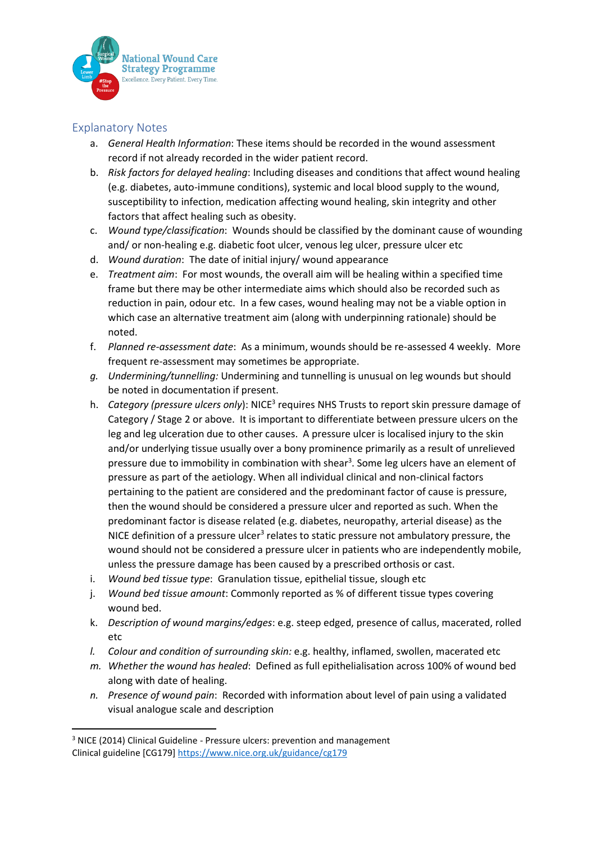

## Explanatory Notes

- a. *General Health Information*: These items should be recorded in the wound assessment record if not already recorded in the wider patient record.
- b. *Risk factors for delayed healing*: Including diseases and conditions that affect wound healing (e.g. diabetes, auto-immune conditions), systemic and local blood supply to the wound, susceptibility to infection, medication affecting wound healing, skin integrity and other factors that affect healing such as obesity.
- c. *Wound type/classification*: Wounds should be classified by the dominant cause of wounding and/ or non-healing e.g. diabetic foot ulcer, venous leg ulcer, pressure ulcer etc
- d. *Wound duration*: The date of initial injury/ wound appearance
- e. *Treatment aim*: For most wounds, the overall aim will be healing within a specified time frame but there may be other intermediate aims which should also be recorded such as reduction in pain, odour etc. In a few cases, wound healing may not be a viable option in which case an alternative treatment aim (along with underpinning rationale) should be noted.
- f. *Planned re-assessment date*: As a minimum, wounds should be re-assessed 4 weekly. More frequent re-assessment may sometimes be appropriate.
- *g. Undermining/tunnelling:* Undermining and tunnelling is unusual on leg wounds but should be noted in documentation if present.
- h. Category (pressure ulcers only): NICE<sup>3</sup> requires NHS Trusts to report skin pressure damage of Category / Stage 2 or above. It is important to differentiate between pressure ulcers on the leg and leg ulceration due to other causes. A pressure ulcer is localised injury to the skin and/or underlying tissue usually over a bony prominence primarily as a result of unrelieved pressure due to immobility in combination with shear<sup>3</sup>. Some leg ulcers have an element of pressure as part of the aetiology. When all individual clinical and non-clinical factors pertaining to the patient are considered and the predominant factor of cause is pressure, then the wound should be considered a pressure ulcer and reported as such. When the predominant factor is disease related (e.g. diabetes, neuropathy, arterial disease) as the NICE definition of a pressure ulcer<sup>3</sup> relates to static pressure not ambulatory pressure, the wound should not be considered a pressure ulcer in patients who are independently mobile, unless the pressure damage has been caused by a prescribed orthosis or cast.
- i. *Wound bed tissue type*: Granulation tissue, epithelial tissue, slough etc
- j. *Wound bed tissue amount*: Commonly reported as % of different tissue types covering wound bed.
- k. *Description of wound margins/edges*: e.g. steep edged, presence of callus, macerated, rolled etc
- *l. Colour and condition of surrounding skin:* e.g. healthy, inflamed, swollen, macerated etc
- *m. Whether the wound has healed*: Defined as full epithelialisation across 100% of wound bed along with date of healing.
- *n. Presence of wound pain*: Recorded with information about level of pain using a validated visual analogue scale and description

<sup>&</sup>lt;sup>3</sup> NICE (2014) Clinical Guideline - Pressure ulcers: prevention and management Clinical guideline [CG179]<https://www.nice.org.uk/guidance/cg179>